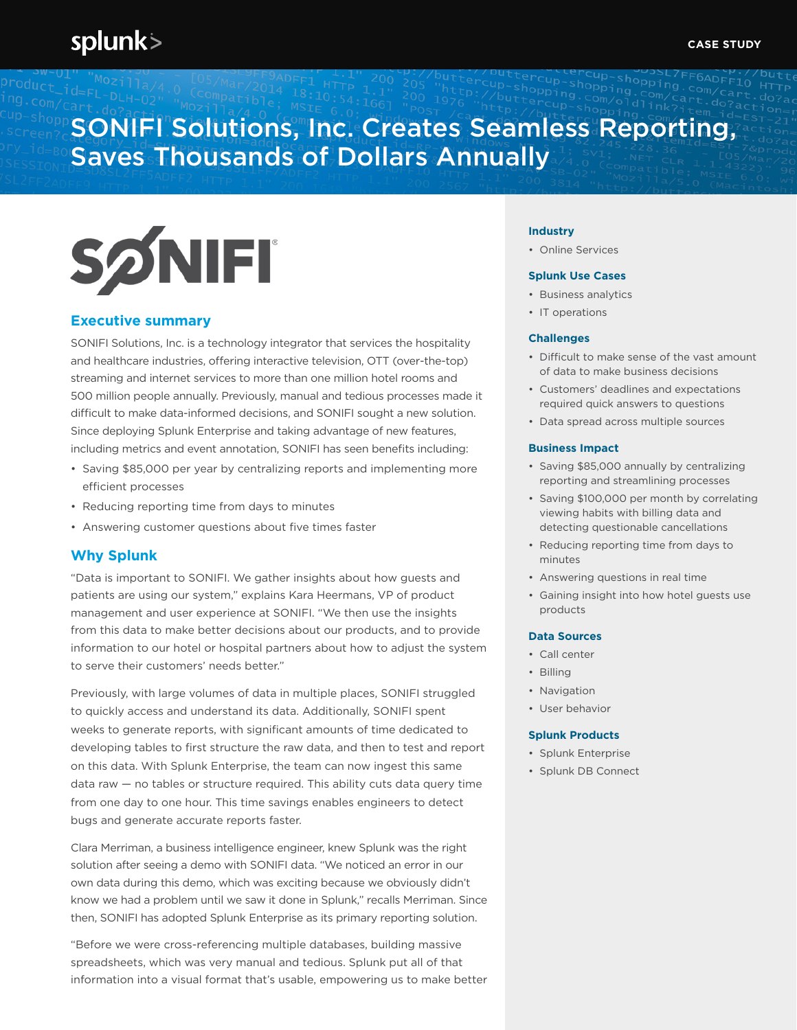# SONIFI Solutions, Inc. Creates Seamless Reporting, Saves Thousands of Dollars Annually



## **Executive summary**

SONIFI Solutions, Inc. is a technology integrator that services the hospitality and healthcare industries, offering interactive television, OTT (over-the-top) streaming and internet services to more than one million hotel rooms and 500 million people annually. Previously, manual and tedious processes made it difficult to make data-informed decisions, and SONIFI sought a new solution. Since deploying Splunk Enterprise and taking advantage of new features, including metrics and event annotation, SONIFI has seen benefits including:

- Saving \$85,000 per year by centralizing reports and implementing more efficient processes
- Reducing reporting time from days to minutes
- Answering customer questions about five times faster

### **Why Splunk**

"Data is important to SONIFI. We gather insights about how guests and patients are using our system," explains Kara Heermans, VP of product management and user experience at SONIFI. "We then use the insights from this data to make better decisions about our products, and to provide information to our hotel or hospital partners about how to adjust the system to serve their customers' needs better."

Previously, with large volumes of data in multiple places, SONIFI struggled to quickly access and understand its data. Additionally, SONIFI spent weeks to generate reports, with significant amounts of time dedicated to developing tables to first structure the raw data, and then to test and report on this data. With Splunk Enterprise, the team can now ingest this same data raw — no tables or structure required. This ability cuts data query time from one day to one hour. This time savings enables engineers to detect bugs and generate accurate reports faster.

Clara Merriman, a business intelligence engineer, knew Splunk was the right solution after seeing a demo with SONIFI data. "We noticed an error in our own data during this demo, which was exciting because we obviously didn't know we had a problem until we saw it done in Splunk," recalls Merriman. Since then, SONIFI has adopted Splunk Enterprise as its primary reporting solution.

"Before we were cross-referencing multiple databases, building massive spreadsheets, which was very manual and tedious. Splunk put all of that information into a visual format that's usable, empowering us to make better

#### **Industry**

• Online Services

#### **Splunk Use Cases**

- Business analytics
- IT operations

#### **Challenges**

- Difficult to make sense of the vast amount of data to make business decisions
- Customers' deadlines and expectations required quick answers to questions
- Data spread across multiple sources

#### **Business Impact**

- Saving \$85,000 annually by centralizing reporting and streamlining processes
- Saving \$100,000 per month by correlating viewing habits with billing data and detecting questionable cancellations
- Reducing reporting time from days to minutes
- Answering questions in real time
- Gaining insight into how hotel guests use products

#### **Data Sources**

- Call center
- Billing
- Navigation
- User behavior

#### **Splunk Products**

- Splunk Enterprise
- Splunk DB Connect